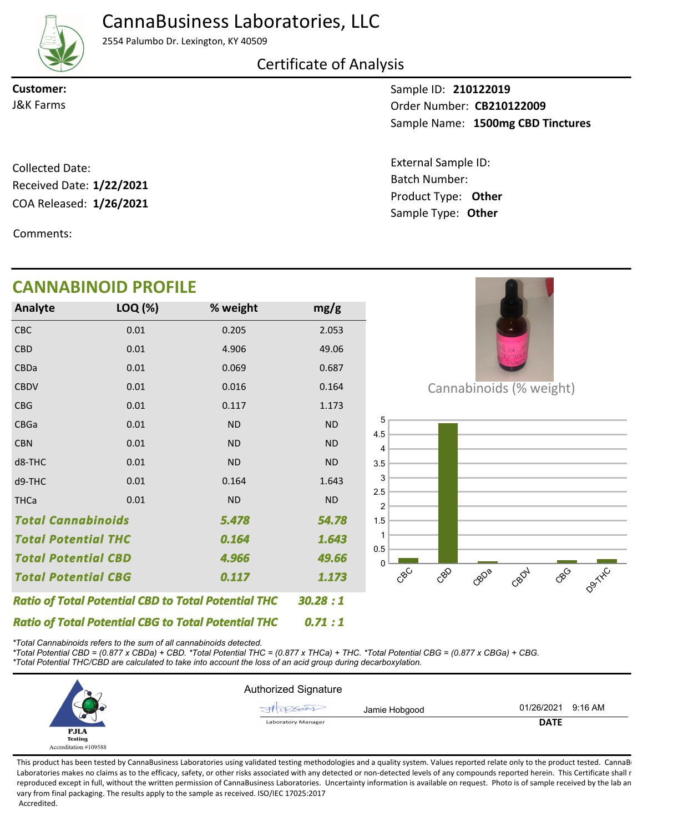CannaBusiness Laboratories, LLC



2554 Palumbo Dr. Lexington, KY 40509

Certificate of Analysis

**Customer:**

Sample ID: **210122019** Sample Name: 1500mg CBD Tinctures **CB210122009** J&K Farms Order Number:

Batch Number:

External Sample ID:

Sample Type: **Other**

COA Released: 1/26/2021 Collected Date: Product Type: **Other 1/26/2021** Received Date: **1/22/2021**

Comments:

CBD CBDa **CBDV** CBG CBGa CBN d8-THC d9-THC **THCa** 

## Cannabinoids (% weight) 0.5 1 1.5 2 2.5 3 3.5 4 4.5 5 CBC 0.01 0.205 2.053 *5.478 Total Potential CBD 1.643 4.966 Total Cannabinoids 54.78 0.164 49.66 Total Potential THC* 0.01 0.01 0.01 0.01 0.01 0.01 0.01 0.01 0.01 4.906 0.069 0.016 0.117 ND ND ND 0.164 ND 49.06 0.687 0.164 1.173 ND ND ND 1.643 ND **Analyte LOQ (%) mg/g % weight CANNABINOID PROFILE**

*Ratio of Total Potential CBG to Total Potential THC \*Total Cannabinoids refers to the sum of all cannabinoids detected.*

*Ratio of Total Potential CBD to Total Potential THC*

*Total Potential CBG*

*\*Total Potential CBD = (0.877 x CBDa) + CBD. \*Total Potential THC = (0.877 x THCa) + THC. \*Total Potential CBG = (0.877 x CBGa) + CBG. \*Total Potential THC/CBD are calculated to take into account the loss of an acid group during decarboxylation.*

*0.117*



*0.71 : 1*

*30.28 : 1*

*1.173*

This product has been tested by CannaBusiness Laboratories using validated testing methodologies and a quality system. Values reported relate only to the product tested. CannaB Laboratories makes no claims as to the efficacy, safety, or other risks associated with any detected or non-detected levels of any compounds reported herein. This Certificate shall r reproduced except in full, without the written permission of CannaBusiness Laboratories. Uncertainty information is available on request. Photo is of sample received by the lab an vary from final packaging. The results apply to the sample as received. ISO/IEC 17025:2017 Accredited.